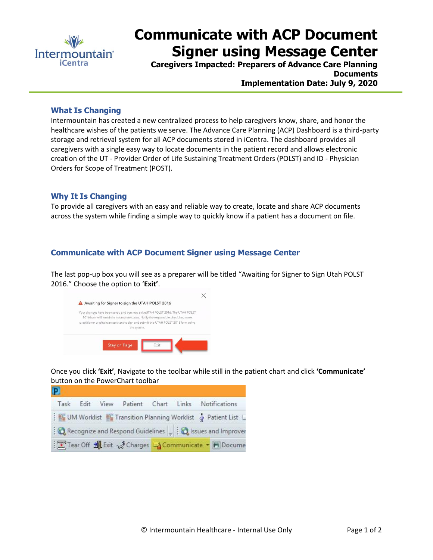

# **Communicate with ACP Document Signer using Message Center**

**Caregivers Impacted: Preparers of Advance Care Planning Documents Implementation Date: July 9, 2020**

### **What Is Changing**

Intermountain has created a new centralized process to help caregivers know, share, and honor the healthcare wishes of the patients we serve. The Advance Care Planning (ACP) Dashboard is a third-party storage and retrieval system for all ACP documents stored in iCentra. The dashboard provides all caregivers with a single easy way to locate documents in the patient record and allows electronic creation of the UT - Provider Order of Life Sustaining Treatment Orders (POLST) and ID - Physician Orders for Scope of Treatment (POST).

### **Why It Is Changing**

To provide all caregivers with an easy and reliable way to create, locate and share ACP documents across the system while finding a simple way to quickly know if a patient has a document on file.

## **Communicate with ACP Document Signer using Message Center**

The last pop-up box you will see as a preparer will be titled "Awaiting for Signer to Sign Utah POLST 2016." Choose the option to '**Exit'**.



Once you click **'Exit'**, Navigate to the toolbar while still in the patient chart and click **'Communicate'** button on the PowerChart toolbar